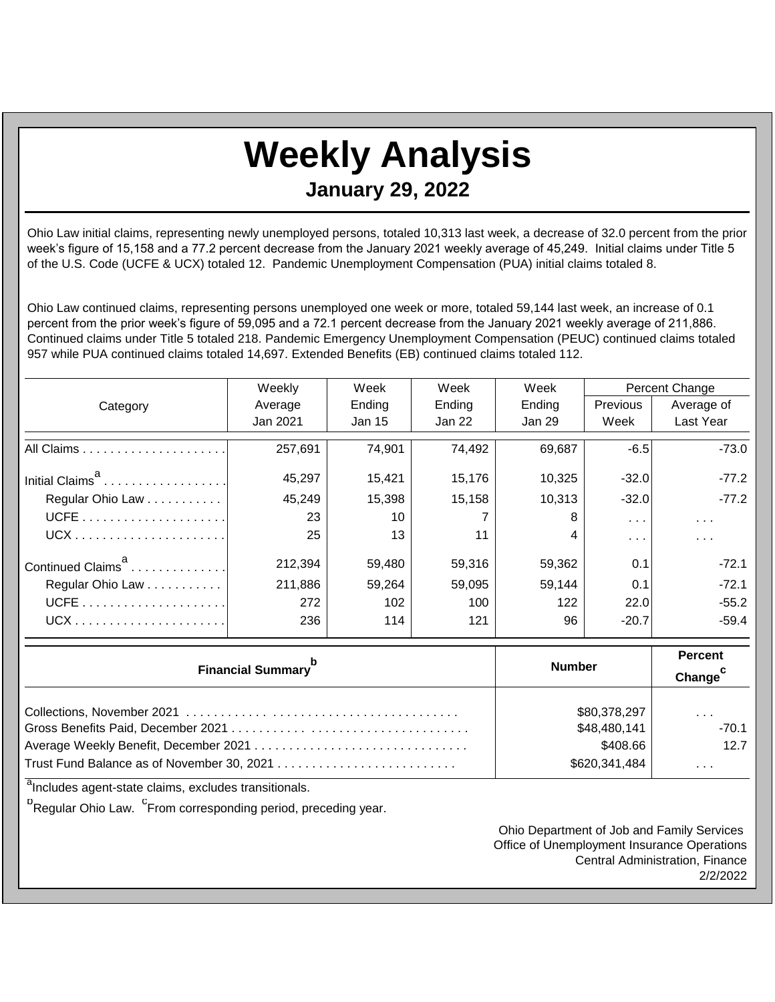## **Weekly Analysis**

**January 29, 2022**

Ohio Law initial claims, representing newly unemployed persons, totaled 10,313 last week, a decrease of 32.0 percent from the prior week's figure of 15,158 and a 77.2 percent decrease from the January 2021 weekly average of 45,249. Initial claims under Title 5 of the U.S. Code (UCFE & UCX) totaled 12. Pandemic Unemployment Compensation (PUA) initial claims totaled 8.

Ohio Law continued claims, representing persons unemployed one week or more, totaled 59,144 last week, an increase of 0.1 percent from the prior week's figure of 59,095 and a 72.1 percent decrease from the January 2021 weekly average of 211,886. Continued claims under Title 5 totaled 218. Pandemic Emergency Unemployment Compensation (PEUC) continued claims totaled 957 while PUA continued claims totaled 14,697. Extended Benefits (EB) continued claims totaled 112.

|                               | Weekly   | Week<br>Week |        | Week   |                      | Percent Change       |  |
|-------------------------------|----------|--------------|--------|--------|----------------------|----------------------|--|
| Category                      | Average  | Ending       | Ending | Ending | <b>Previous</b>      | Average of           |  |
|                               | Jan 2021 | Jan 15       | Jan 22 | Jan 29 | Week                 | Last Year            |  |
|                               | 257,691  | 74,901       | 74,492 | 69,687 | $-6.5$               | $-73.0$              |  |
| Initial Claims <sup>a</sup>   | 45,297   | 15,421       | 15,176 | 10,325 | $-32.0$              | $-77.2$              |  |
| Regular Ohio Law              | 45,249   | 15,398       | 15,158 | 10,313 | $-32.0$              | $-77.2$              |  |
|                               | 23       | 10           |        | 8      | $\sim$ $\sim$ $\sim$ | $\sim$ $\sim$ $\sim$ |  |
|                               | 25       | 13           | 11     | 4      | .                    | $\sim$ $\sim$        |  |
| Continued Claims <sup>a</sup> | 212,394  | 59,480       | 59,316 | 59,362 | 0.1                  | $-72.1$              |  |
| Regular Ohio Law              | 211,886  | 59.264       | 59,095 | 59,144 | 0.1                  | $-72.1$              |  |
|                               | 272      | 102          | 100    | 122    | 22.0                 | $-55.2$              |  |
|                               | 236      | 114          | 121    | 96     | $-20.7$              | $-59.4$              |  |

| <b>Financial Summary</b> <sup>b</sup> | <b>Number</b> | Percent<br>Change <sup>c</sup> |  |
|---------------------------------------|---------------|--------------------------------|--|
|                                       | \$80,378,297  | $\sim$ $\sim$ $\sim$           |  |
|                                       | \$48,480,141  | $-70.1$                        |  |
|                                       | \$408.66      | 12.7                           |  |
|                                       | \$620,341,484 | $\sim$ 10 $\sim$ 10 $\sim$     |  |

<sup>a</sup>Includes agent-state claims, excludes transitionals.

<sup>b</sup>Regular Ohio Law. <sup>C</sup>From corresponding period, preceding year.

Ohio Department of Job and Family Services Office of Unemployment Insurance Operations Central Administration, Finance 2/2/2022